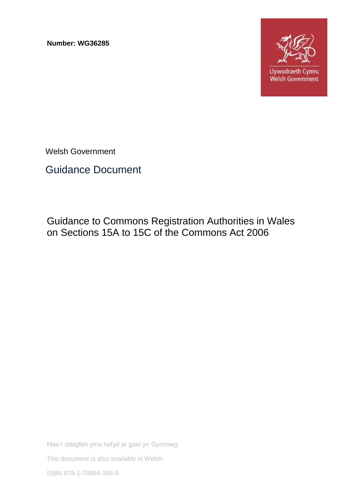**Number: WG36285**



Welsh Government

Guidance Document

Guidance to Commons Registration Authorities in Wales on Sections 15A to 15C of the Commons Act 2006

Mae'r ddogfen yma hefyd ar gael yn Gymraeg.

This document is also available in Welsh.

ISBN 978-1-78964-345-9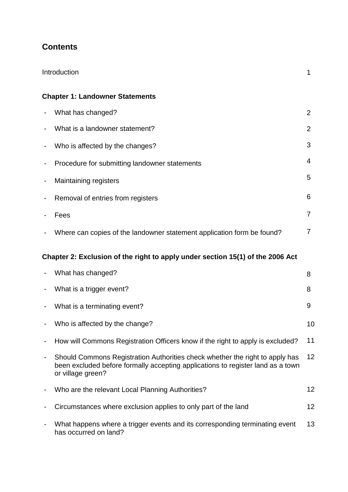# **Contents**

|                                                                                | Introduction                                                                                                                                                                         |    |  |  |
|--------------------------------------------------------------------------------|--------------------------------------------------------------------------------------------------------------------------------------------------------------------------------------|----|--|--|
|                                                                                | <b>Chapter 1: Landowner Statements</b>                                                                                                                                               |    |  |  |
|                                                                                | What has changed?                                                                                                                                                                    | 2  |  |  |
|                                                                                | What is a landowner statement?                                                                                                                                                       | 2  |  |  |
|                                                                                | Who is affected by the changes?                                                                                                                                                      | 3  |  |  |
| ۰                                                                              | Procedure for submitting landowner statements                                                                                                                                        | 4  |  |  |
| ۰                                                                              | <b>Maintaining registers</b>                                                                                                                                                         | 5  |  |  |
| $\overline{\phantom{a}}$                                                       | Removal of entries from registers                                                                                                                                                    | 6  |  |  |
|                                                                                | Fees                                                                                                                                                                                 | 7  |  |  |
|                                                                                | Where can copies of the landowner statement application form be found?                                                                                                               | 7  |  |  |
| Chapter 2: Exclusion of the right to apply under section 15(1) of the 2006 Act |                                                                                                                                                                                      |    |  |  |
|                                                                                | What has changed?                                                                                                                                                                    | 8  |  |  |
| $\overline{\phantom{a}}$                                                       | What is a trigger event?                                                                                                                                                             | 8  |  |  |
| ۰                                                                              | What is a terminating event?                                                                                                                                                         | 9  |  |  |
|                                                                                | Who is affected by the change?                                                                                                                                                       | 10 |  |  |
| $\overline{\phantom{0}}$                                                       | How will Commons Registration Officers know if the right to apply is excluded?                                                                                                       | 11 |  |  |
| -                                                                              | Should Commons Registration Authorities check whether the right to apply has<br>been excluded before formally accepting applications to register land as a town<br>or village green? | 12 |  |  |
|                                                                                | Who are the relevant Local Planning Authorities?                                                                                                                                     | 12 |  |  |
|                                                                                | Circumstances where exclusion applies to only part of the land                                                                                                                       | 12 |  |  |
|                                                                                | What happens where a trigger events and its corresponding terminating event<br>has occurred on land?                                                                                 | 13 |  |  |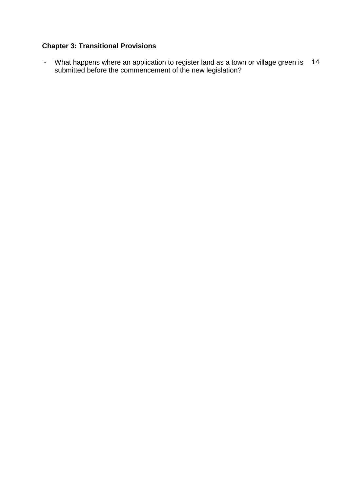# **Chapter 3: Transitional Provisions**

- What happens where an application to register land as a town or village green is submitted before the commencement of the new legislation? 14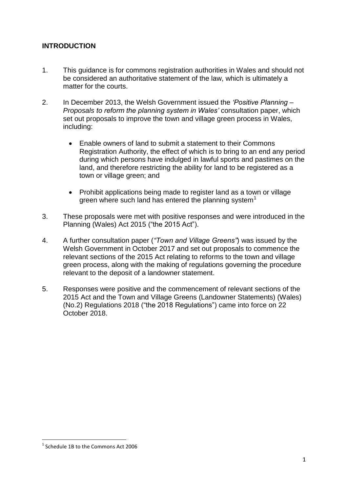# **INTRODUCTION**

- 1. This guidance is for commons registration authorities in Wales and should not be considered an authoritative statement of the law, which is ultimately a matter for the courts.
- 2. In December 2013, the Welsh Government issued the *'Positive Planning – Proposals to reform the planning system in Wales'* consultation paper, which set out proposals to improve the town and village green process in Wales, including:
	- Enable owners of land to submit a statement to their Commons Registration Authority, the effect of which is to bring to an end any period during which persons have indulged in lawful sports and pastimes on the land, and therefore restricting the ability for land to be registered as a town or village green; and
	- Prohibit applications being made to register land as a town or village green where such land has entered the planning system<sup>1</sup>
- 3. These proposals were met with positive responses and were introduced in the Planning (Wales) Act 2015 ("the 2015 Act").
- 4. A further consultation paper (*"Town and Village Greens"*) was issued by the Welsh Government in October 2017 and set out proposals to commence the relevant sections of the 2015 Act relating to reforms to the town and village green process, along with the making of regulations governing the procedure relevant to the deposit of a landowner statement.
- 5. Responses were positive and the commencement of relevant sections of the 2015 Act and the Town and Village Greens (Landowner Statements) (Wales) (No.2) Regulations 2018 ("the 2018 Regulations") came into force on 22 October 2018.

**.** 

<sup>&</sup>lt;sup>1</sup> Schedule 1B to the Commons Act 2006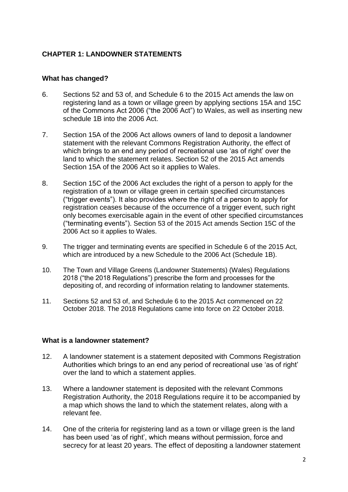## **CHAPTER 1: LANDOWNER STATEMENTS**

#### **What has changed?**

- 6. Sections 52 and 53 of, and Schedule 6 to the 2015 Act amends the law on registering land as a town or village green by applying sections 15A and 15C of the Commons Act 2006 ("the 2006 Act") to Wales, as well as inserting new schedule 1B into the 2006 Act.
- 7. Section 15A of the 2006 Act allows owners of land to deposit a landowner statement with the relevant Commons Registration Authority, the effect of which brings to an end any period of recreational use 'as of right' over the land to which the statement relates. Section 52 of the 2015 Act amends Section 15A of the 2006 Act so it applies to Wales.
- 8. Section 15C of the 2006 Act excludes the right of a person to apply for the registration of a town or village green in certain specified circumstances ("trigger events"). It also provides where the right of a person to apply for registration ceases because of the occurrence of a trigger event, such right only becomes exercisable again in the event of other specified circumstances ("terminating events"). Section 53 of the 2015 Act amends Section 15C of the 2006 Act so it applies to Wales.
- 9. The trigger and terminating events are specified in Schedule 6 of the 2015 Act, which are introduced by a new Schedule to the 2006 Act (Schedule 1B).
- 10. The Town and Village Greens (Landowner Statements) (Wales) Regulations 2018 ("the 2018 Regulations") prescribe the form and processes for the depositing of, and recording of information relating to landowner statements.
- 11. Sections 52 and 53 of, and Schedule 6 to the 2015 Act commenced on 22 October 2018. The 2018 Regulations came into force on 22 October 2018.

#### **What is a landowner statement?**

- 12. A landowner statement is a statement deposited with Commons Registration Authorities which brings to an end any period of recreational use 'as of right' over the land to which a statement applies.
- 13. Where a landowner statement is deposited with the relevant Commons Registration Authority, the 2018 Regulations require it to be accompanied by a map which shows the land to which the statement relates, along with a relevant fee.
- 14. One of the criteria for registering land as a town or village green is the land has been used 'as of right', which means without permission, force and secrecy for at least 20 years. The effect of depositing a landowner statement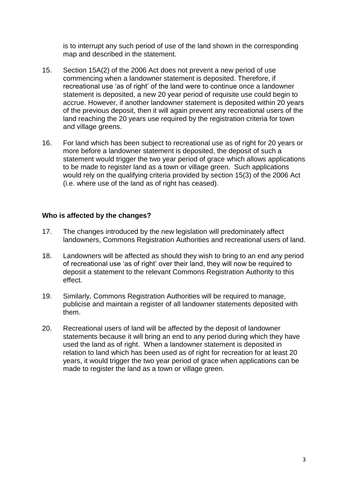is to interrupt any such period of use of the land shown in the corresponding map and described in the statement.

- 15. Section 15A(2) of the 2006 Act does not prevent a new period of use commencing when a landowner statement is deposited. Therefore, if recreational use 'as of right' of the land were to continue once a landowner statement is deposited, a new 20 year period of requisite use could begin to accrue. However, if another landowner statement is deposited within 20 years of the previous deposit, then it will again prevent any recreational users of the land reaching the 20 years use required by the registration criteria for town and village greens.
- 16. For land which has been subject to recreational use as of right for 20 years or more before a landowner statement is deposited, the deposit of such a statement would trigger the two year period of grace which allows applications to be made to register land as a town or village green. Such applications would rely on the qualifying criteria provided by section 15(3) of the 2006 Act (i.e. where use of the land as of right has ceased).

### **Who is affected by the changes?**

- 17. The changes introduced by the new legislation will predominately affect landowners, Commons Registration Authorities and recreational users of land.
- 18. Landowners will be affected as should they wish to bring to an end any period of recreational use 'as of right' over their land, they will now be required to deposit a statement to the relevant Commons Registration Authority to this effect.
- 19. Similarly, Commons Registration Authorities will be required to manage, publicise and maintain a register of all landowner statements deposited with them.
- 20. Recreational users of land will be affected by the deposit of landowner statements because it will bring an end to any period during which they have used the land as of right. When a landowner statement is deposited in relation to land which has been used as of right for recreation for at least 20 years, it would trigger the two year period of grace when applications can be made to register the land as a town or village green.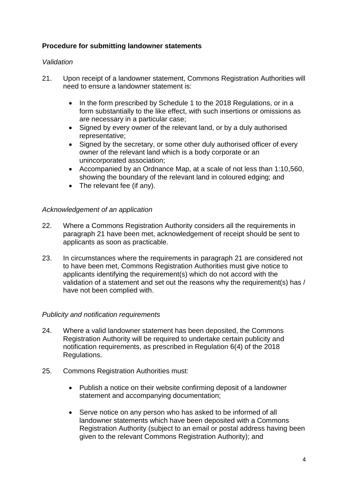# **Procedure for submitting landowner statements**

## *Validation*

- 21. Upon receipt of a landowner statement, Commons Registration Authorities will need to ensure a landowner statement is:
	- In the form prescribed by Schedule 1 to the 2018 Regulations, or in a form substantially to the like effect, with such insertions or omissions as are necessary in a particular case;
	- Signed by every owner of the relevant land, or by a duly authorised representative;
	- Signed by the secretary, or some other duly authorised officer of every owner of the relevant land which is a body corporate or an unincorporated association;
	- Accompanied by an Ordnance Map, at a scale of not less than 1:10,560, showing the boundary of the relevant land in coloured edging; and
	- The relevant fee (if any).

### *Acknowledgement of an application*

- 22. Where a Commons Registration Authority considers all the requirements in paragraph 21 have been met, acknowledgement of receipt should be sent to applicants as soon as practicable.
- 23. In circumstances where the requirements in paragraph 21 are considered not to have been met, Commons Registration Authorities must give notice to applicants identifying the requirement(s) which do not accord with the validation of a statement and set out the reasons why the requirement(s) has / have not been complied with.

### *Publicity and notification requirements*

- 24. Where a valid landowner statement has been deposited, the Commons Registration Authority will be required to undertake certain publicity and notification requirements, as prescribed in Regulation 6(4) of the 2018 Regulations.
- 25. Commons Registration Authorities must:
	- Publish a notice on their website confirming deposit of a landowner statement and accompanying documentation;
	- Serve notice on any person who has asked to be informed of all landowner statements which have been deposited with a Commons Registration Authority (subject to an email or postal address having been given to the relevant Commons Registration Authority); and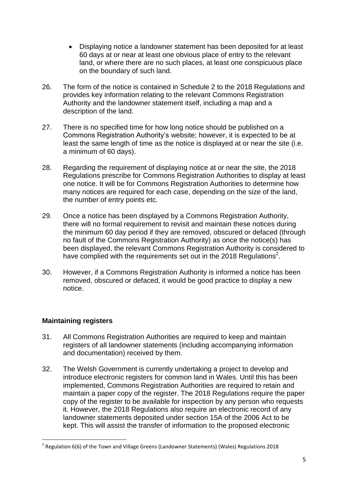- Displaying notice a landowner statement has been deposited for at least 60 days at or near at least one obvious place of entry to the relevant land, or where there are no such places, at least one conspicuous place on the boundary of such land.
- 26. The form of the notice is contained in Schedule 2 to the 2018 Regulations and provides key information relating to the relevant Commons Registration Authority and the landowner statement itself, including a map and a description of the land.
- 27. There is no specified time for how long notice should be published on a Commons Registration Authority's website; however, it is expected to be at least the same length of time as the notice is displayed at or near the site (i.e. a minimum of 60 days).
- 28. Regarding the requirement of displaying notice at or near the site, the 2018 Regulations prescribe for Commons Registration Authorities to display at least one notice. It will be for Commons Registration Authorities to determine how many notices are required for each case, depending on the size of the land, the number of entry points etc.
- 29. Once a notice has been displayed by a Commons Registration Authority, there will no formal requirement to revisit and maintain these notices during the minimum 60 day period if they are removed, obscured or defaced (through no fault of the Commons Registration Authority) as once the notice(s) has been displayed, the relevant Commons Registration Authority is considered to have complied with the requirements set out in the 2018 Regulations<sup>2</sup>.
- 30. However, if a Commons Registration Authority is informed a notice has been removed, obscured or defaced, it would be good practice to display a new notice.

# **Maintaining registers**

**.** 

- 31. All Commons Registration Authorities are required to keep and maintain registers of all landowner statements (including accompanying information and documentation) received by them.
- 32. The Welsh Government is currently undertaking a project to develop and introduce electronic registers for common land in Wales. Until this has been implemented, Commons Registration Authorities are required to retain and maintain a paper copy of the register. The 2018 Regulations require the paper copy of the register to be available for inspection by any person who requests it. However, the 2018 Regulations also require an electronic record of any landowner statements deposited under section 15A of the 2006 Act to be kept. This will assist the transfer of information to the proposed electronic

<sup>&</sup>lt;sup>2</sup> Regulation 6(6) of the Town and Village Greens (Landowner Statements) (Wales) Regulations 2018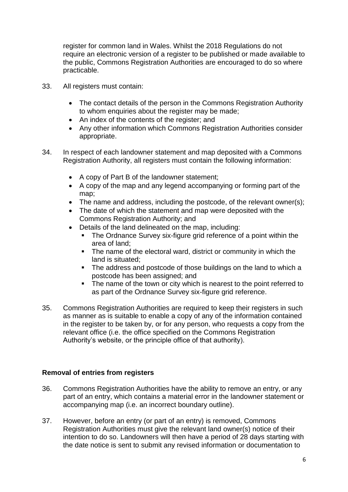register for common land in Wales. Whilst the 2018 Regulations do not require an electronic version of a register to be published or made available to the public, Commons Registration Authorities are encouraged to do so where practicable.

- 33. All registers must contain:
	- The contact details of the person in the Commons Registration Authority to whom enquiries about the register may be made;
	- An index of the contents of the register; and
	- Any other information which Commons Registration Authorities consider appropriate.
- 34. In respect of each landowner statement and map deposited with a Commons Registration Authority, all registers must contain the following information:
	- A copy of Part B of the landowner statement;
	- A copy of the map and any legend accompanying or forming part of the map;
	- The name and address, including the postcode, of the relevant owner(s);
	- The date of which the statement and map were deposited with the Commons Registration Authority; and
	- Details of the land delineated on the map, including:
		- The Ordnance Survey six-figure grid reference of a point within the area of land;
		- The name of the electoral ward, district or community in which the land is situated;
		- The address and postcode of those buildings on the land to which a postcode has been assigned; and
		- The name of the town or city which is nearest to the point referred to as part of the Ordnance Survey six-figure grid reference.
- 35. Commons Registration Authorities are required to keep their registers in such as manner as is suitable to enable a copy of any of the information contained in the register to be taken by, or for any person, who requests a copy from the relevant office (i.e. the office specified on the Commons Registration Authority's website, or the principle office of that authority).

### **Removal of entries from registers**

- 36. Commons Registration Authorities have the ability to remove an entry, or any part of an entry, which contains a material error in the landowner statement or accompanying map (i.e. an incorrect boundary outline).
- 37. However, before an entry (or part of an entry) is removed, Commons Registration Authorities must give the relevant land owner(s) notice of their intention to do so. Landowners will then have a period of 28 days starting with the date notice is sent to submit any revised information or documentation to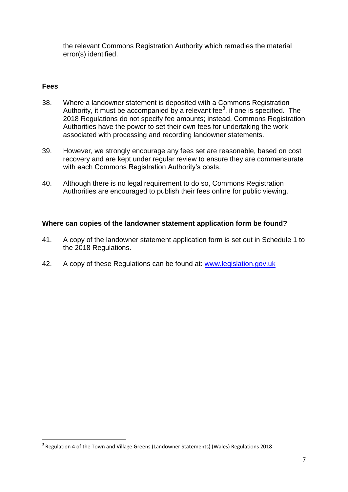the relevant Commons Registration Authority which remedies the material error(s) identified.

# **Fees**

**.** 

- 38. Where a landowner statement is deposited with a Commons Registration Authority, it must be accompanied by a relevant fee<sup>3</sup>, if one is specified. The 2018 Regulations do not specify fee amounts; instead, Commons Registration Authorities have the power to set their own fees for undertaking the work associated with processing and recording landowner statements.
- 39. However, we strongly encourage any fees set are reasonable, based on cost recovery and are kept under regular review to ensure they are commensurate with each Commons Registration Authority's costs.
- 40. Although there is no legal requirement to do so, Commons Registration Authorities are encouraged to publish their fees online for public viewing.

### **Where can copies of the landowner statement application form be found?**

- 41. A copy of the landowner statement application form is set out in Schedule 1 to the 2018 Regulations.
- 42. A copy of these Regulations can be found at: [www.legislation.gov.uk](http://www.legislation.gov.uk/)

 $3$  Regulation 4 of the Town and Village Greens (Landowner Statements) (Wales) Regulations 2018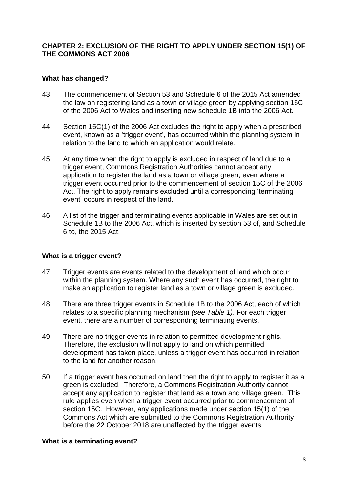## **CHAPTER 2: EXCLUSION OF THE RIGHT TO APPLY UNDER SECTION 15(1) OF THE COMMONS ACT 2006**

### **What has changed?**

- 43. The commencement of Section 53 and Schedule 6 of the 2015 Act amended the law on registering land as a town or village green by applying section 15C of the 2006 Act to Wales and inserting new schedule 1B into the 2006 Act.
- 44. Section 15C(1) of the 2006 Act excludes the right to apply when a prescribed event, known as a 'trigger event', has occurred within the planning system in relation to the land to which an application would relate.
- 45. At any time when the right to apply is excluded in respect of land due to a trigger event, Commons Registration Authorities cannot accept any application to register the land as a town or village green, even where a trigger event occurred prior to the commencement of section 15C of the 2006 Act. The right to apply remains excluded until a corresponding 'terminating event' occurs in respect of the land.
- 46. A list of the trigger and terminating events applicable in Wales are set out in Schedule 1B to the 2006 Act, which is inserted by section 53 of, and Schedule 6 to, the 2015 Act.

#### **What is a trigger event?**

- 47. Trigger events are events related to the development of land which occur within the planning system. Where any such event has occurred, the right to make an application to register land as a town or village green is excluded.
- 48. There are three trigger events in Schedule 1B to the 2006 Act, each of which relates to a specific planning mechanism *(see Table 1)*. For each trigger event, there are a number of corresponding terminating events.
- 49. There are no trigger events in relation to permitted development rights. Therefore, the exclusion will not apply to land on which permitted development has taken place, unless a trigger event has occurred in relation to the land for another reason.
- 50. If a trigger event has occurred on land then the right to apply to register it as a green is excluded. Therefore, a Commons Registration Authority cannot accept any application to register that land as a town and village green. This rule applies even when a trigger event occurred prior to commencement of section 15C. However, any applications made under section 15(1) of the Commons Act which are submitted to the Commons Registration Authority before the 22 October 2018 are unaffected by the trigger events.

### **What is a terminating event?**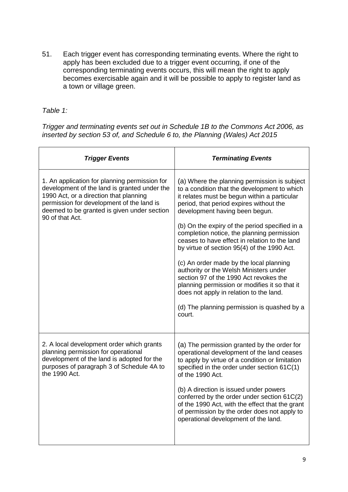51. Each trigger event has corresponding terminating events. Where the right to apply has been excluded due to a trigger event occurring, if one of the corresponding terminating events occurs, this will mean the right to apply becomes exercisable again and it will be possible to apply to register land as a town or village green.

*Table 1:* 

*Trigger and terminating events set out in Schedule 1B to the Commons Act 2006, as inserted by section 53 of, and Schedule 6 to, the Planning (Wales) Act 2015*

| <b>Trigger Events</b>                                                                                                                                                                                                                                  | <b>Terminating Events</b>                                                                                                                                                                                                                                                                                                                                                                                                                                                                                                                                                                                                                                                                                     |
|--------------------------------------------------------------------------------------------------------------------------------------------------------------------------------------------------------------------------------------------------------|---------------------------------------------------------------------------------------------------------------------------------------------------------------------------------------------------------------------------------------------------------------------------------------------------------------------------------------------------------------------------------------------------------------------------------------------------------------------------------------------------------------------------------------------------------------------------------------------------------------------------------------------------------------------------------------------------------------|
| 1. An application for planning permission for<br>development of the land is granted under the<br>1990 Act, or a direction that planning<br>permission for development of the land is<br>deemed to be granted is given under section<br>90 of that Act. | (a) Where the planning permission is subject<br>to a condition that the development to which<br>it relates must be begun within a particular<br>period, that period expires without the<br>development having been begun.<br>(b) On the expiry of the period specified in a<br>completion notice, the planning permission<br>ceases to have effect in relation to the land<br>by virtue of section 95(4) of the 1990 Act.<br>(c) An order made by the local planning<br>authority or the Welsh Ministers under<br>section 97 of the 1990 Act revokes the<br>planning permission or modifies it so that it<br>does not apply in relation to the land.<br>(d) The planning permission is quashed by a<br>court. |
| 2. A local development order which grants<br>planning permission for operational<br>development of the land is adopted for the<br>purposes of paragraph 3 of Schedule 4A to<br>the 1990 Act.                                                           | (a) The permission granted by the order for<br>operational development of the land ceases<br>to apply by virtue of a condition or limitation<br>specified in the order under section 61C(1)<br>of the 1990 Act.<br>(b) A direction is issued under powers<br>conferred by the order under section 61C(2)<br>of the 1990 Act, with the effect that the grant<br>of permission by the order does not apply to<br>operational development of the land.                                                                                                                                                                                                                                                           |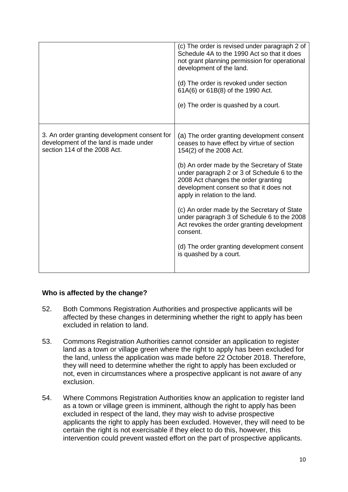|                                                                                                                       | (c) The order is revised under paragraph 2 of<br>Schedule 4A to the 1990 Act so that it does<br>not grant planning permission for operational<br>development of the land.<br>(d) The order is revoked under section<br>61A(6) or 61B(8) of the 1990 Act.<br>(e) The order is quashed by a court.                                                                                                                                                                                                                                                                      |
|-----------------------------------------------------------------------------------------------------------------------|-----------------------------------------------------------------------------------------------------------------------------------------------------------------------------------------------------------------------------------------------------------------------------------------------------------------------------------------------------------------------------------------------------------------------------------------------------------------------------------------------------------------------------------------------------------------------|
| 3. An order granting development consent for<br>development of the land is made under<br>section 114 of the 2008 Act. | (a) The order granting development consent<br>ceases to have effect by virtue of section<br>154(2) of the 2008 Act.<br>(b) An order made by the Secretary of State<br>under paragraph 2 or 3 of Schedule 6 to the<br>2008 Act changes the order granting<br>development consent so that it does not<br>apply in relation to the land.<br>(c) An order made by the Secretary of State<br>under paragraph 3 of Schedule 6 to the 2008<br>Act revokes the order granting development<br>consent.<br>(d) The order granting development consent<br>is quashed by a court. |

# **Who is affected by the change?**

- 52. Both Commons Registration Authorities and prospective applicants will be affected by these changes in determining whether the right to apply has been excluded in relation to land.
- 53. Commons Registration Authorities cannot consider an application to register land as a town or village green where the right to apply has been excluded for the land, unless the application was made before 22 October 2018. Therefore, they will need to determine whether the right to apply has been excluded or not, even in circumstances where a prospective applicant is not aware of any exclusion.
- 54. Where Commons Registration Authorities know an application to register land as a town or village green is imminent, although the right to apply has been excluded in respect of the land, they may wish to advise prospective applicants the right to apply has been excluded. However, they will need to be certain the right is not exercisable if they elect to do this, however, this intervention could prevent wasted effort on the part of prospective applicants.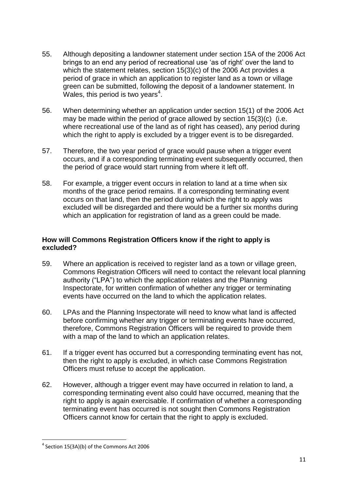- 55. Although depositing a landowner statement under section 15A of the 2006 Act brings to an end any period of recreational use 'as of right' over the land to which the statement relates, section 15(3)(c) of the 2006 Act provides a period of grace in which an application to register land as a town or village green can be submitted, following the deposit of a landowner statement. In Wales, this period is two years<sup>4</sup>.
- 56. When determining whether an application under section 15(1) of the 2006 Act may be made within the period of grace allowed by section 15(3)(c) (i.e. where recreational use of the land as of right has ceased), any period during which the right to apply is excluded by a trigger event is to be disregarded.
- 57. Therefore, the two year period of grace would pause when a trigger event occurs, and if a corresponding terminating event subsequently occurred, then the period of grace would start running from where it left off.
- 58. For example, a trigger event occurs in relation to land at a time when six months of the grace period remains. If a corresponding terminating event occurs on that land, then the period during which the right to apply was excluded will be disregarded and there would be a further six months during which an application for registration of land as a green could be made.

## **How will Commons Registration Officers know if the right to apply is excluded?**

- 59. Where an application is received to register land as a town or village green, Commons Registration Officers will need to contact the relevant local planning authority ("LPA") to which the application relates and the Planning Inspectorate, for written confirmation of whether any trigger or terminating events have occurred on the land to which the application relates.
- 60. LPAs and the Planning Inspectorate will need to know what land is affected before confirming whether any trigger or terminating events have occurred, therefore, Commons Registration Officers will be required to provide them with a map of the land to which an application relates.
- 61. If a trigger event has occurred but a corresponding terminating event has not, then the right to apply is excluded, in which case Commons Registration Officers must refuse to accept the application.
- 62. However, although a trigger event may have occurred in relation to land, a corresponding terminating event also could have occurred, meaning that the right to apply is again exercisable. If confirmation of whether a corresponding terminating event has occurred is not sought then Commons Registration Officers cannot know for certain that the right to apply is excluded.

**<sup>.</sup>**  $4$  Section 15(3A)(b) of the Commons Act 2006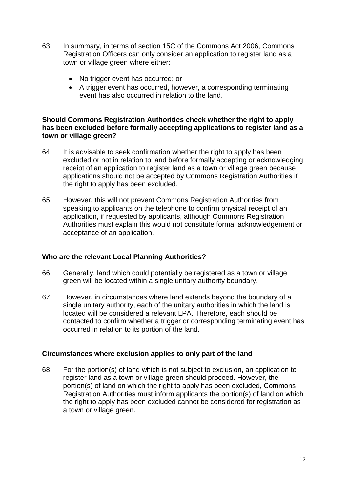- 63. In summary, in terms of section 15C of the Commons Act 2006, Commons Registration Officers can only consider an application to register land as a town or village green where either:
	- No trigger event has occurred; or
	- A trigger event has occurred, however, a corresponding terminating event has also occurred in relation to the land.

#### **Should Commons Registration Authorities check whether the right to apply has been excluded before formally accepting applications to register land as a town or village green?**

- 64. It is advisable to seek confirmation whether the right to apply has been excluded or not in relation to land before formally accepting or acknowledging receipt of an application to register land as a town or village green because applications should not be accepted by Commons Registration Authorities if the right to apply has been excluded.
- 65. However, this will not prevent Commons Registration Authorities from speaking to applicants on the telephone to confirm physical receipt of an application, if requested by applicants, although Commons Registration Authorities must explain this would not constitute formal acknowledgement or acceptance of an application.

### **Who are the relevant Local Planning Authorities?**

- 66. Generally, land which could potentially be registered as a town or village green will be located within a single unitary authority boundary.
- 67. However, in circumstances where land extends beyond the boundary of a single unitary authority, each of the unitary authorities in which the land is located will be considered a relevant LPA. Therefore, each should be contacted to confirm whether a trigger or corresponding terminating event has occurred in relation to its portion of the land.

### **Circumstances where exclusion applies to only part of the land**

68. For the portion(s) of land which is not subject to exclusion, an application to register land as a town or village green should proceed. However, the portion(s) of land on which the right to apply has been excluded, Commons Registration Authorities must inform applicants the portion(s) of land on which the right to apply has been excluded cannot be considered for registration as a town or village green.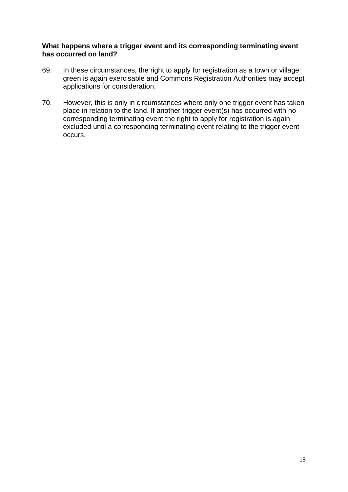#### **What happens where a trigger event and its corresponding terminating event has occurred on land?**

- 69. In these circumstances, the right to apply for registration as a town or village green is again exercisable and Commons Registration Authorities may accept applications for consideration.
- 70. However, this is only in circumstances where only one trigger event has taken place in relation to the land. If another trigger event(s) has occurred with no corresponding terminating event the right to apply for registration is again excluded until a corresponding terminating event relating to the trigger event occurs.